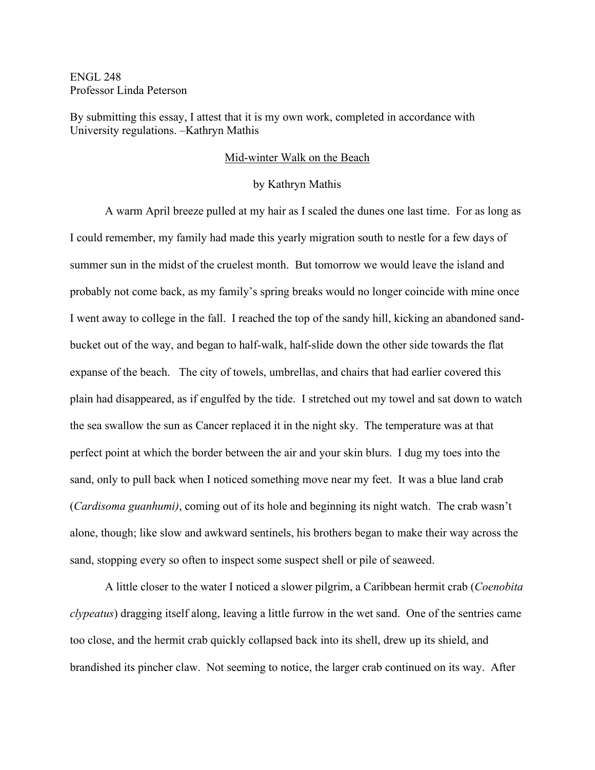ENGL 248 Professor Linda Peterson

By submitting this essay, I attest that it is my own work, completed in accordance with University regulations. –Kathryn Mathis

## Mid-winter Walk on the Beach

## by Kathryn Mathis

A warm April breeze pulled at my hair as I scaled the dunes one last time. For as long as I could remember, my family had made this yearly migration south to nestle for a few days of summer sun in the midst of the cruelest month. But tomorrow we would leave the island and probably not come back, as my family's spring breaks would no longer coincide with mine once I went away to college in the fall. I reached the top of the sandy hill, kicking an abandoned sandbucket out of the way, and began to half-walk, half-slide down the other side towards the flat expanse of the beach. The city of towels, umbrellas, and chairs that had earlier covered this plain had disappeared, as if engulfed by the tide. I stretched out my towel and sat down to watch the sea swallow the sun as Cancer replaced it in the night sky. The temperature was at that perfect point at which the border between the air and your skin blurs. I dug my toes into the sand, only to pull back when I noticed something move near my feet. It was a blue land crab (*Cardisoma guanhumi)*, coming out of its hole and beginning its night watch. The crab wasn't alone, though; like slow and awkward sentinels, his brothers began to make their way across the sand, stopping every so often to inspect some suspect shell or pile of seaweed.

A little closer to the water I noticed a slower pilgrim, a Caribbean hermit crab (*Coenobita clypeatus*) dragging itself along, leaving a little furrow in the wet sand. One of the sentries came too close, and the hermit crab quickly collapsed back into its shell, drew up its shield, and brandished its pincher claw. Not seeming to notice, the larger crab continued on its way. After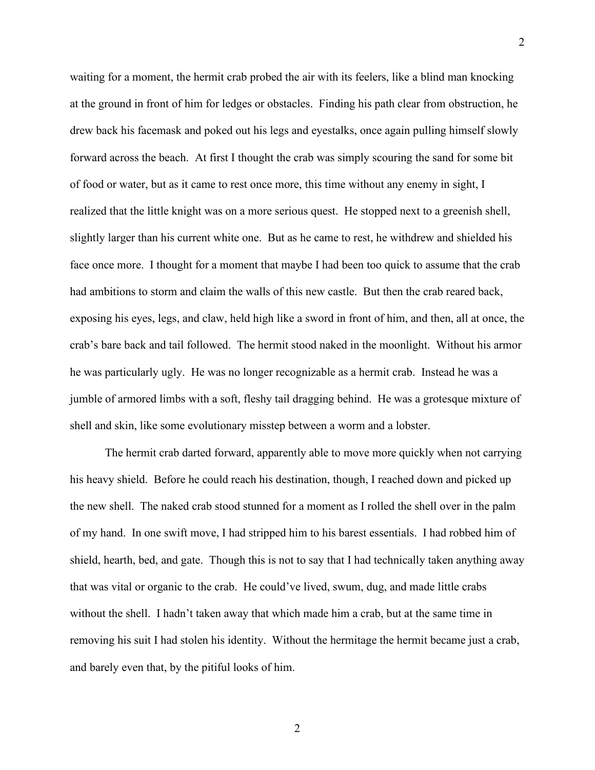waiting for a moment, the hermit crab probed the air with its feelers, like a blind man knocking at the ground in front of him for ledges or obstacles. Finding his path clear from obstruction, he drew back his facemask and poked out his legs and eyestalks, once again pulling himself slowly forward across the beach. At first I thought the crab was simply scouring the sand for some bit of food or water, but as it came to rest once more, this time without any enemy in sight, I realized that the little knight was on a more serious quest. He stopped next to a greenish shell, slightly larger than his current white one. But as he came to rest, he withdrew and shielded his face once more. I thought for a moment that maybe I had been too quick to assume that the crab had ambitions to storm and claim the walls of this new castle. But then the crab reared back, exposing his eyes, legs, and claw, held high like a sword in front of him, and then, all at once, the crab's bare back and tail followed. The hermit stood naked in the moonlight. Without his armor he was particularly ugly. He was no longer recognizable as a hermit crab. Instead he was a jumble of armored limbs with a soft, fleshy tail dragging behind. He was a grotesque mixture of shell and skin, like some evolutionary misstep between a worm and a lobster.

2

The hermit crab darted forward, apparently able to move more quickly when not carrying his heavy shield. Before he could reach his destination, though, I reached down and picked up the new shell. The naked crab stood stunned for a moment as I rolled the shell over in the palm of my hand. In one swift move, I had stripped him to his barest essentials. I had robbed him of shield, hearth, bed, and gate. Though this is not to say that I had technically taken anything away that was vital or organic to the crab. He could've lived, swum, dug, and made little crabs without the shell. I hadn't taken away that which made him a crab, but at the same time in removing his suit I had stolen his identity. Without the hermitage the hermit became just a crab, and barely even that, by the pitiful looks of him.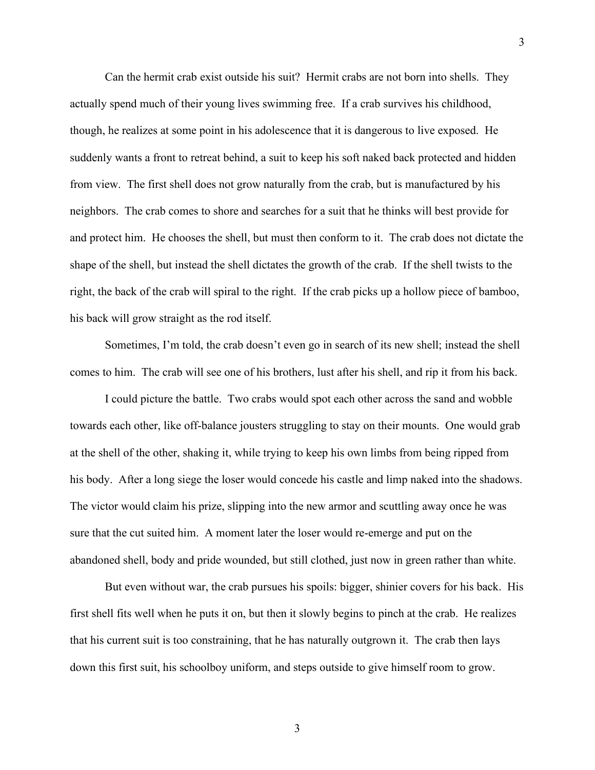Can the hermit crab exist outside his suit? Hermit crabs are not born into shells. They actually spend much of their young lives swimming free. If a crab survives his childhood, though, he realizes at some point in his adolescence that it is dangerous to live exposed. He suddenly wants a front to retreat behind, a suit to keep his soft naked back protected and hidden from view. The first shell does not grow naturally from the crab, but is manufactured by his neighbors. The crab comes to shore and searches for a suit that he thinks will best provide for and protect him. He chooses the shell, but must then conform to it. The crab does not dictate the shape of the shell, but instead the shell dictates the growth of the crab. If the shell twists to the right, the back of the crab will spiral to the right. If the crab picks up a hollow piece of bamboo, his back will grow straight as the rod itself.

Sometimes, I'm told, the crab doesn't even go in search of its new shell; instead the shell comes to him. The crab will see one of his brothers, lust after his shell, and rip it from his back.

I could picture the battle. Two crabs would spot each other across the sand and wobble towards each other, like off-balance jousters struggling to stay on their mounts. One would grab at the shell of the other, shaking it, while trying to keep his own limbs from being ripped from his body. After a long siege the loser would concede his castle and limp naked into the shadows. The victor would claim his prize, slipping into the new armor and scuttling away once he was sure that the cut suited him. A moment later the loser would re-emerge and put on the abandoned shell, body and pride wounded, but still clothed, just now in green rather than white.

But even without war, the crab pursues his spoils: bigger, shinier covers for his back. His first shell fits well when he puts it on, but then it slowly begins to pinch at the crab. He realizes that his current suit is too constraining, that he has naturally outgrown it. The crab then lays down this first suit, his schoolboy uniform, and steps outside to give himself room to grow.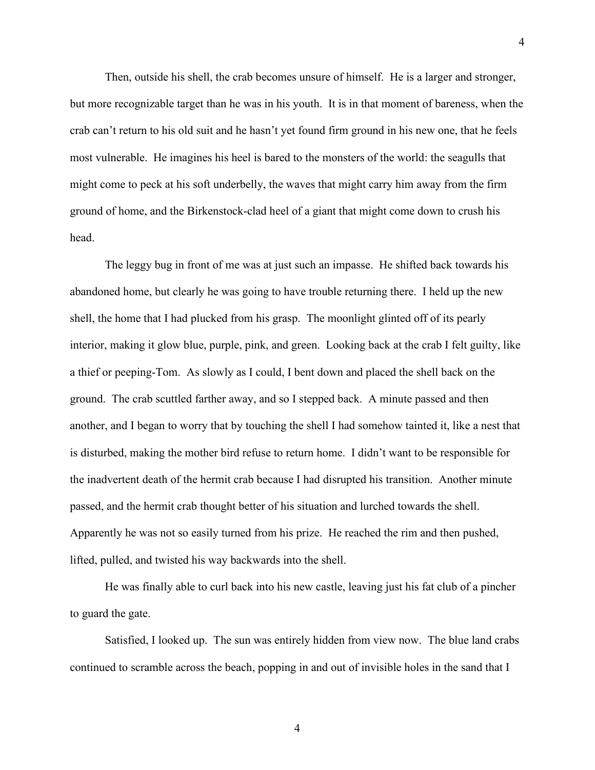Then, outside his shell, the crab becomes unsure of himself. He is a larger and stronger, but more recognizable target than he was in his youth. It is in that moment of bareness, when the crab can't return to his old suit and he hasn't yet found firm ground in his new one, that he feels most vulnerable. He imagines his heel is bared to the monsters of the world: the seagulls that might come to peck at his soft underbelly, the waves that might carry him away from the firm ground of home, and the Birkenstock-clad heel of a giant that might come down to crush his head.

The leggy bug in front of me was at just such an impasse. He shifted back towards his abandoned home, but clearly he was going to have trouble returning there. I held up the new shell, the home that I had plucked from his grasp. The moonlight glinted off of its pearly interior, making it glow blue, purple, pink, and green. Looking back at the crab I felt guilty, like a thief or peeping-Tom. As slowly as I could, I bent down and placed the shell back on the ground. The crab scuttled farther away, and so I stepped back. A minute passed and then another, and I began to worry that by touching the shell I had somehow tainted it, like a nest that is disturbed, making the mother bird refuse to return home. I didn't want to be responsible for the inadvertent death of the hermit crab because I had disrupted his transition. Another minute passed, and the hermit crab thought better of his situation and lurched towards the shell. Apparently he was not so easily turned from his prize. He reached the rim and then pushed, lifted, pulled, and twisted his way backwards into the shell.

He was finally able to curl back into his new castle, leaving just his fat club of a pincher to guard the gate.

Satisfied, I looked up. The sun was entirely hidden from view now. The blue land crabs continued to scramble across the beach, popping in and out of invisible holes in the sand that I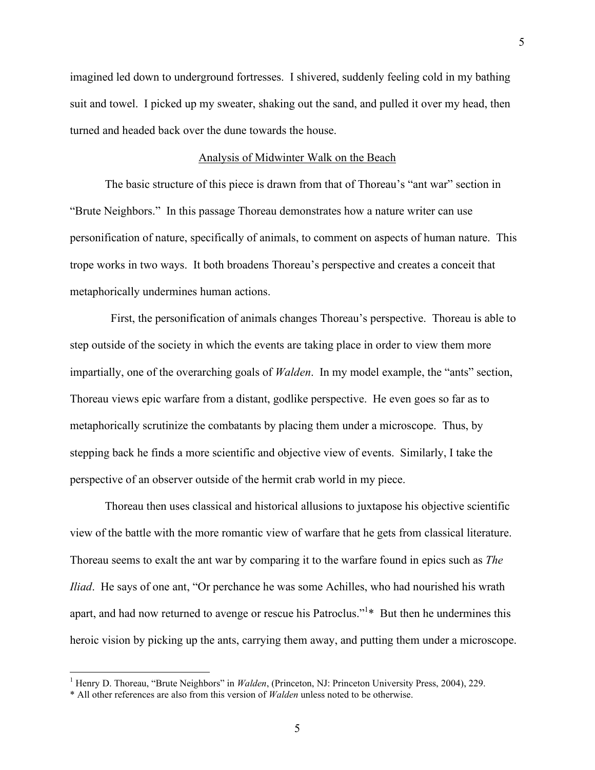imagined led down to underground fortresses. I shivered, suddenly feeling cold in my bathing suit and towel. I picked up my sweater, shaking out the sand, and pulled it over my head, then turned and headed back over the dune towards the house.

## Analysis of Midwinter Walk on the Beach

The basic structure of this piece is drawn from that of Thoreau's "ant war" section in "Brute Neighbors." In this passage Thoreau demonstrates how a nature writer can use personification of nature, specifically of animals, to comment on aspects of human nature. This trope works in two ways. It both broadens Thoreau's perspective and creates a conceit that metaphorically undermines human actions.

 First, the personification of animals changes Thoreau's perspective. Thoreau is able to step outside of the society in which the events are taking place in order to view them more impartially, one of the overarching goals of *Walden*. In my model example, the "ants" section, Thoreau views epic warfare from a distant, godlike perspective. He even goes so far as to metaphorically scrutinize the combatants by placing them under a microscope. Thus, by stepping back he finds a more scientific and objective view of events. Similarly, I take the perspective of an observer outside of the hermit crab world in my piece.

Thoreau then uses classical and historical allusions to juxtapose his objective scientific view of the battle with the more romantic view of warfare that he gets from classical literature. Thoreau seems to exalt the ant war by comparing it to the warfare found in epics such as *The Iliad*. He says of one ant, "Or perchance he was some Achilles, who had nourished his wrath apart, and had now returned to avenge or rescue his Patroclus."<sup>1</sup>\* But then he undermines this heroic vision by picking up the ants, carrying them away, and putting them under a microscope.

<sup>&</sup>lt;sup>1</sup> Henry D. Thoreau, "Brute Neighbors" in *Walden*, (Princeton, NJ: Princeton University Press, 2004), 229.

<sup>\*</sup> All other references are also from this version of *Walden* unless noted to be otherwise.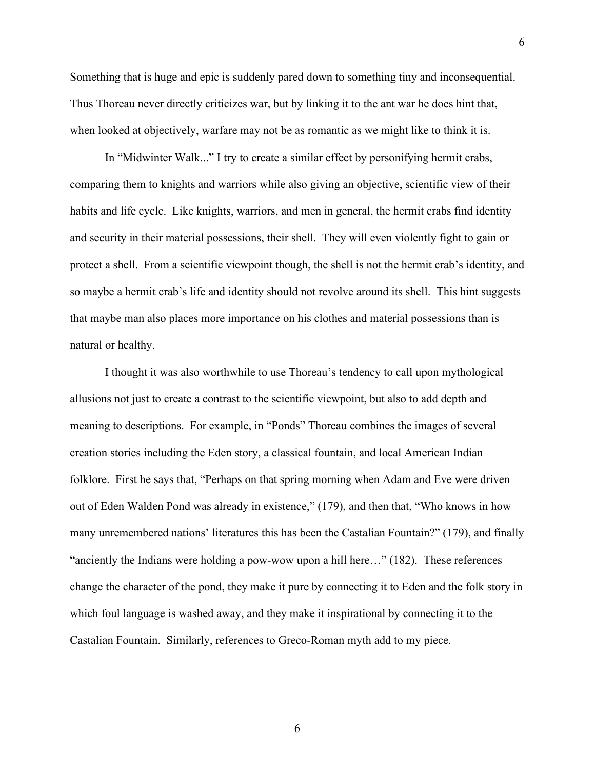Something that is huge and epic is suddenly pared down to something tiny and inconsequential. Thus Thoreau never directly criticizes war, but by linking it to the ant war he does hint that, when looked at objectively, warfare may not be as romantic as we might like to think it is.

6

In "Midwinter Walk..." I try to create a similar effect by personifying hermit crabs, comparing them to knights and warriors while also giving an objective, scientific view of their habits and life cycle. Like knights, warriors, and men in general, the hermit crabs find identity and security in their material possessions, their shell. They will even violently fight to gain or protect a shell. From a scientific viewpoint though, the shell is not the hermit crab's identity, and so maybe a hermit crab's life and identity should not revolve around its shell. This hint suggests that maybe man also places more importance on his clothes and material possessions than is natural or healthy.

I thought it was also worthwhile to use Thoreau's tendency to call upon mythological allusions not just to create a contrast to the scientific viewpoint, but also to add depth and meaning to descriptions. For example, in "Ponds" Thoreau combines the images of several creation stories including the Eden story, a classical fountain, and local American Indian folklore. First he says that, "Perhaps on that spring morning when Adam and Eve were driven out of Eden Walden Pond was already in existence," (179), and then that, "Who knows in how many unremembered nations' literatures this has been the Castalian Fountain?" (179), and finally "anciently the Indians were holding a pow-wow upon a hill here…" (182). These references change the character of the pond, they make it pure by connecting it to Eden and the folk story in which foul language is washed away, and they make it inspirational by connecting it to the Castalian Fountain. Similarly, references to Greco-Roman myth add to my piece.